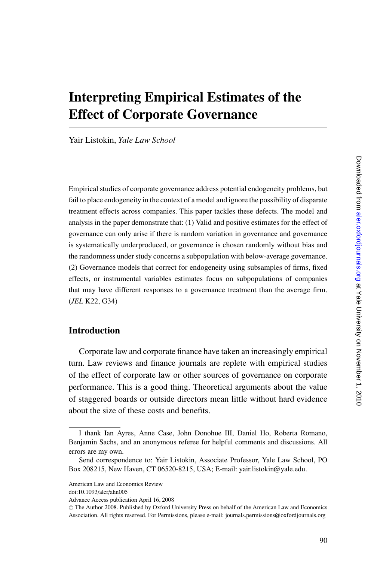# **Interpreting Empirical Estimates of the Effect of Corporate Governance**

Yair Listokin, *Yale Law School*

Empirical studies of corporate governance address potential endogeneity problems, but fail to place endogeneity in the context of a model and ignore the possibility of disparate treatment effects across companies. This paper tackles these defects. The model and analysis in the paper demonstrate that: (1) Valid and positive estimates for the effect of governance can only arise if there is random variation in governance and governance is systematically underproduced, or governance is chosen randomly without bias and the randomness under study concerns a subpopulation with below-average governance. (2) Governance models that correct for endogeneity using subsamples of firms, fixed effects, or instrumental variables estimates focus on subpopulations of companies that may have different responses to a governance treatment than the average firm. (*JEL* K22, G34)

# **Introduction**

Corporate law and corporate finance have taken an increasingly empirical turn. Law reviews and finance journals are replete with empirical studies of the effect of corporate law or other sources of governance on corporate performance. This is a good thing. Theoretical arguments about the value of staggered boards or outside directors mean little without hard evidence about the size of these costs and benefits.

I thank Ian Ayres, Anne Case, John Donohue III, Daniel Ho, Roberta Romano, Benjamin Sachs, and an anonymous referee for helpful comments and discussions. All errors are my own.

Send correspondence to: Yair Listokin, Associate Professor, Yale Law School, PO Box 208215, New Haven, CT 06520-8215, USA; E-mail: yair.listokin@yale.edu.

American Law and Economics Review

doi:10.1093/aler/ahn005

Advance Access publication April 16, 2008

<sup>C</sup> The Author 2008. Published by Oxford University Press on behalf of the American Law and Economics Association. All rights reserved. For Permissions, please e-mail: journals.permissions@oxfordjournals.org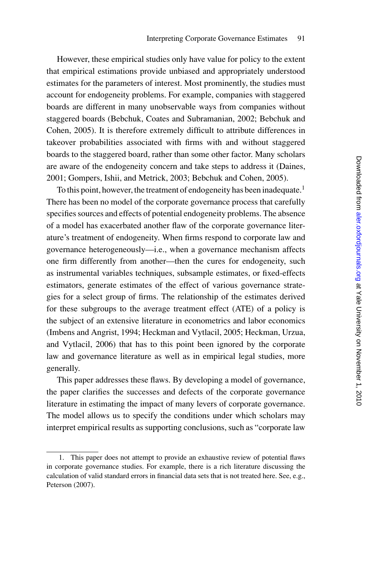However, these empirical studies only have value for policy to the extent that empirical estimations provide unbiased and appropriately understood estimates for the parameters of interest. Most prominently, the studies must account for endogeneity problems. For example, companies with staggered boards are different in many unobservable ways from companies without staggered boards (Bebchuk, Coates and Subramanian, 2002; Bebchuk and Cohen, 2005). It is therefore extremely difficult to attribute differences in takeover probabilities associated with firms with and without staggered boards to the staggered board, rather than some other factor. Many scholars are aware of the endogeneity concern and take steps to address it (Daines, 2001; Gompers, Ishii, and Metrick, 2003; Bebchuk and Cohen, 2005).

To this point, however, the treatment of endogeneity has been inadequate.<sup>1</sup> There has been no model of the corporate governance process that carefully specifies sources and effects of potential endogeneity problems. The absence of a model has exacerbated another flaw of the corporate governance literature's treatment of endogeneity. When firms respond to corporate law and governance heterogeneously—i.e., when a governance mechanism affects one firm differently from another—then the cures for endogeneity, such as instrumental variables techniques, subsample estimates, or fixed-effects estimators, generate estimates of the effect of various governance strategies for a select group of firms. The relationship of the estimates derived for these subgroups to the average treatment effect (ATE) of a policy is the subject of an extensive literature in econometrics and labor economics (Imbens and Angrist, 1994; Heckman and Vytlacil, 2005; Heckman, Urzua, and Vytlacil, 2006) that has to this point been ignored by the corporate law and governance literature as well as in empirical legal studies, more generally.

This paper addresses these flaws. By developing a model of governance, the paper clarifies the successes and defects of the corporate governance literature in estimating the impact of many levers of corporate governance. The model allows us to specify the conditions under which scholars may interpret empirical results as supporting conclusions, such as "corporate law

<sup>1.</sup> This paper does not attempt to provide an exhaustive review of potential flaws in corporate governance studies. For example, there is a rich literature discussing the calculation of valid standard errors in financial data sets that is not treated here. See, e.g., Peterson (2007).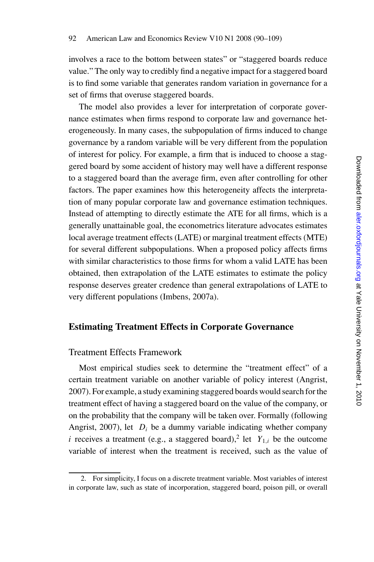involves a race to the bottom between states" or "staggered boards reduce value." The only way to credibly find a negative impact for a staggered board is to find some variable that generates random variation in governance for a set of firms that overuse staggered boards.

The model also provides a lever for interpretation of corporate governance estimates when firms respond to corporate law and governance heterogeneously. In many cases, the subpopulation of firms induced to change governance by a random variable will be very different from the population of interest for policy. For example, a firm that is induced to choose a staggered board by some accident of history may well have a different response to a staggered board than the average firm, even after controlling for other factors. The paper examines how this heterogeneity affects the interpretation of many popular corporate law and governance estimation techniques. Instead of attempting to directly estimate the ATE for all firms, which is a generally unattainable goal, the econometrics literature advocates estimates local average treatment effects (LATE) or marginal treatment effects (MTE) for several different subpopulations. When a proposed policy affects firms with similar characteristics to those firms for whom a valid LATE has been obtained, then extrapolation of the LATE estimates to estimate the policy response deserves greater credence than general extrapolations of LATE to very different populations (Imbens, 2007a).

#### **Estimating Treatment Effects in Corporate Governance**

## Treatment Effects Framework

Most empirical studies seek to determine the "treatment effect" of a certain treatment variable on another variable of policy interest (Angrist, 2007). For example, a study examining staggered boards would search for the treatment effect of having a staggered board on the value of the company, or on the probability that the company will be taken over. Formally (following Angrist,  $2007$ ), let  $D_i$  be a dummy variable indicating whether company *i* receives a treatment (e.g., a staggered board),<sup>2</sup> let  $Y_{1,i}$  be the outcome variable of interest when the treatment is received, such as the value of

<sup>2.</sup> For simplicity, I focus on a discrete treatment variable. Most variables of interest in corporate law, such as state of incorporation, staggered board, poison pill, or overall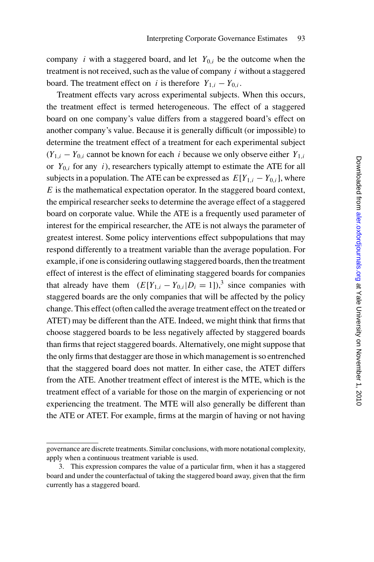company *i* with a staggered board, and let  $Y_{0,i}$  be the outcome when the treatment is not received, such as the value of company *i* without a staggered board. The treatment effect on *i* is therefore  $Y_{1i} - Y_{0i}$ .

Treatment effects vary across experimental subjects. When this occurs, the treatment effect is termed heterogeneous. The effect of a staggered board on one company's value differs from a staggered board's effect on another company's value. Because it is generally difficult (or impossible) to determine the treatment effect of a treatment for each experimental subject  $(Y_{1,i} - Y_{0,i})$  cannot be known for each *i* because we only observe either  $Y_{1,i}$ or  $Y_{0,i}$  for any *i*), researchers typically attempt to estimate the ATE for all subjects in a population. The ATE can be expressed as  $E[Y_{1,i} - Y_{0,i}]$ , where *E* is the mathematical expectation operator. In the staggered board context, the empirical researcher seeks to determine the average effect of a staggered board on corporate value. While the ATE is a frequently used parameter of interest for the empirical researcher, the ATE is not always the parameter of greatest interest. Some policy interventions effect subpopulations that may respond differently to a treatment variable than the average population. For example, if one is considering outlawing staggered boards, then the treatment effect of interest is the effect of eliminating staggered boards for companies that already have them  $(E[Y_{1,i} - Y_{0,i} | D_i = 1])$ ,<sup>3</sup> since companies with staggered boards are the only companies that will be affected by the policy change. This effect (often called the average treatment effect on the treated or ATET) may be different than the ATE. Indeed, we might think that firms that choose staggered boards to be less negatively affected by staggered boards than firms that reject staggered boards. Alternatively, one might suppose that the only firms that destagger are those in which management is so entrenched that the staggered board does not matter. In either case, the ATET differs from the ATE. Another treatment effect of interest is the MTE, which is the treatment effect of a variable for those on the margin of experiencing or not experiencing the treatment. The MTE will also generally be different than the ATE or ATET. For example, firms at the margin of having or not having

governance are discrete treatments. Similar conclusions, with more notational complexity, apply when a continuous treatment variable is used.

<sup>3.</sup> This expression compares the value of a particular firm, when it has a staggered board and under the counterfactual of taking the staggered board away, given that the firm currently has a staggered board.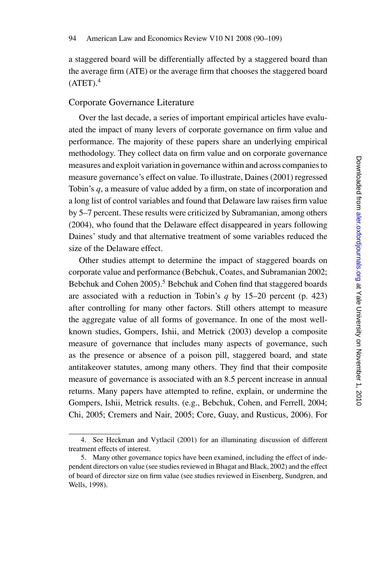a staggered board will be differentially affected by a staggered board than the average firm (ATE) or the average firm that chooses the staggered board  $(ATET).<sup>4</sup>$ 

# Corporate Governance Literature

Over the last decade, a series of important empirical articles have evaluated the impact of many levers of corporate governance on firm value and performance. The majority of these papers share an underlying empirical methodology. They collect data on firm value and on corporate governance measures and exploit variation in governance within and across companies to measure governance's effect on value. To illustrate, Daines (2001) regressed Tobin's *q*, a measure of value added by a firm, on state of incorporation and a long list of control variables and found that Delaware law raises firm value by 5–7 percent. These results were criticized by Subramanian, among others (2004), who found that the Delaware effect disappeared in years following Daines' study and that alternative treatment of some variables reduced the size of the Delaware effect.

Other studies attempt to determine the impact of staggered boards on corporate value and performance (Bebchuk, Coates, and Subramanian 2002; Bebchuk and Cohen 2005).<sup>5</sup> Bebchuk and Cohen find that staggered boards are associated with a reduction in Tobin's *q* by 15–20 percent (p. 423) after controlling for many other factors. Still others attempt to measure the aggregate value of all forms of governance. In one of the most wellknown studies, Gompers, Ishii, and Metrick (2003) develop a composite measure of governance that includes many aspects of governance, such as the presence or absence of a poison pill, staggered board, and state antitakeover statutes, among many others. They find that their composite measure of governance is associated with an 8.5 percent increase in annual returns. Many papers have attempted to refine, explain, or undermine the Gompers, Ishii, Metrick results. (e.g., Bebchuk, Cohen, and Ferrell, 2004; Chi, 2005; Cremers and Nair, 2005; Core, Guay, and Rusticus, 2006). For

<sup>4.</sup> See Heckman and Vytlacil (2001) for an illuminating discussion of different treatment effects of interest.

<sup>5.</sup> Many other governance topics have been examined, including the effect of independent directors on value (see studies reviewed in Bhagat and Black, 2002) and the effect of board of director size on firm value (see studies reviewed in Eisenberg, Sundgren, and Wells, 1998).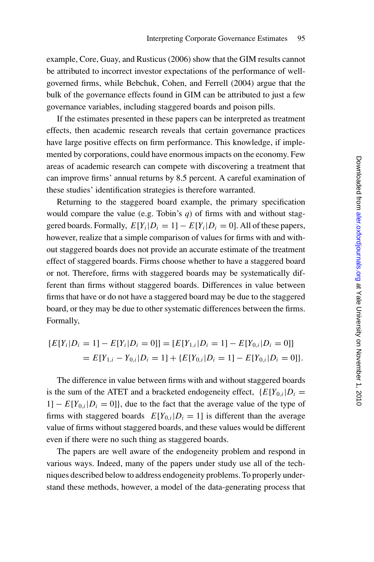example, Core, Guay, and Rusticus (2006) show that the GIM results cannot be attributed to incorrect investor expectations of the performance of wellgoverned firms, while Bebchuk, Cohen, and Ferrell (2004) argue that the bulk of the governance effects found in GIM can be attributed to just a few governance variables, including staggered boards and poison pills.

If the estimates presented in these papers can be interpreted as treatment effects, then academic research reveals that certain governance practices have large positive effects on firm performance. This knowledge, if implemented by corporations, could have enormous impacts on the economy. Few areas of academic research can compete with discovering a treatment that can improve firms' annual returns by 8.5 percent. A careful examination of these studies' identification strategies is therefore warranted.

Returning to the staggered board example, the primary specification would compare the value (e.g. Tobin's *q*) of firms with and without staggered boards. Formally,  $E[Y_i|D_i = 1] - E[Y_i|D_i = 0]$ . All of these papers, however, realize that a simple comparison of values for firms with and without staggered boards does not provide an accurate estimate of the treatment effect of staggered boards. Firms choose whether to have a staggered board or not. Therefore, firms with staggered boards may be systematically different than firms without staggered boards. Differences in value between firms that have or do not have a staggered board may be due to the staggered board, or they may be due to other systematic differences between the firms. Formally,

$$
[E[Y_i|D_i = 1] - E[Y_i|D_i = 0]] = [E[Y_{1,i}|D_i = 1] - E[Y_{0,i}|D_i = 0]]
$$
  
= 
$$
E[Y_{1,i} - Y_{0,i}|D_i = 1] + \{E[Y_{0,i}|D_i = 1] - E[Y_{0,i}|D_i = 0]\}.
$$

The difference in value between firms with and without staggered boards is the sum of the ATET and a bracketed endogeneity effect,  ${E[Y_{0,i}|D_i = \mathbb{R}^2 \cdot \mathbb{R}^2}$  $1] - E[Y_{0,i}|D_i = 0]$ , due to the fact that the average value of the type of firms with staggered boards  $E[Y_{0,i}|D_i = 1]$  is different than the average value of firms without staggered boards, and these values would be different even if there were no such thing as staggered boards.

The papers are well aware of the endogeneity problem and respond in various ways. Indeed, many of the papers under study use all of the techniques described below to address endogeneity problems. To properly understand these methods, however, a model of the data-generating process that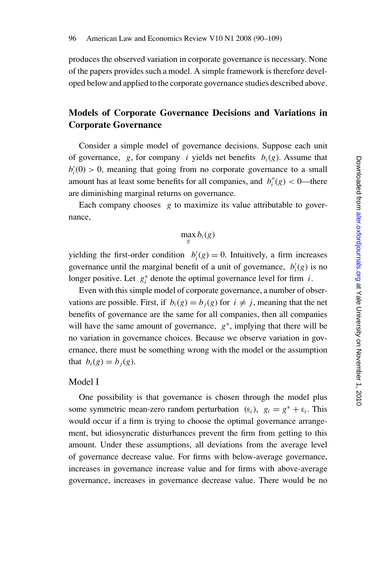produces the observed variation in corporate governance is necessary. None of the papers provides such a model. A simple framework is therefore developed below and applied to the corporate governance studies described above.

# **Models of Corporate Governance Decisions and Variations in Corporate Governance**

Consider a simple model of governance decisions. Suppose each unit of governance,  $g$ , for company *i* yields net benefits  $b_i(g)$ . Assume that  $b_i'(0) > 0$ , meaning that going from no corporate governance to a small amount has at least some benefits for all companies, and  $b_i''(g) < 0$ —there are diminishing marginal returns on governance.

Each company chooses *g* to maximize its value attributable to governance,

$$
\max_{g} b_i(g)
$$

yielding the first-order condition  $b_i'(g) = 0$ . Intuitively, a firm increases governance until the marginal benefit of a unit of governance,  $b_i'(g)$  is no longer positive. Let  $g_i^*$  denote the optimal governance level for firm *i*.

Even with this simple model of corporate governance, a number of observations are possible. First, if  $b_i(g) = b_j(g)$  for  $i \neq j$ , meaning that the net benefits of governance are the same for all companies, then all companies will have the same amount of governance, *g*<sup>∗</sup>, implying that there will be no variation in governance choices. Because we observe variation in governance, there must be something wrong with the model or the assumption that  $b_i(g) = b_j(g)$ .

# Model I

One possibility is that governance is chosen through the model plus some symmetric mean-zero random perturbation  $(\varepsilon_i)$ ,  $g_i = g^* + \varepsilon_i$ . This would occur if a firm is trying to choose the optimal governance arrangement, but idiosyncratic disturbances prevent the firm from getting to this amount. Under these assumptions, all deviations from the average level of governance decrease value. For firms with below-average governance, increases in governance increase value and for firms with above-average governance, increases in governance decrease value. There would be no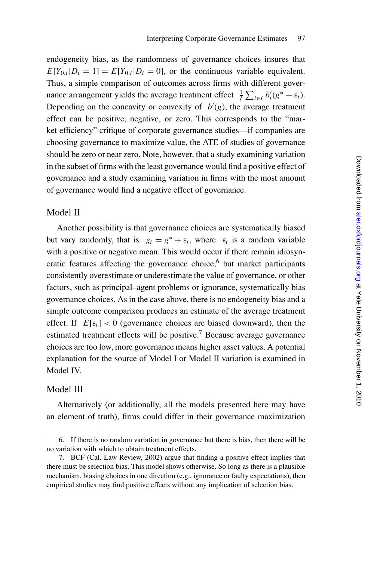endogeneity bias, as the randomness of governance choices insures that  $E[Y_{0,i}|D_i = 1] = E[Y_{0,i}|D_i = 0]$ , or the continuous variable equivalent. Thus, a simple comparison of outcomes across firms with different governance arrangement yields the average treatment effect  $\frac{1}{I} \sum_{i \in I} b'_i (g^* + \varepsilon_i)$ . Depending on the concavity or convexity of  $b'(g)$ , the average treatment effect can be positive, negative, or zero. This corresponds to the "market efficiency" critique of corporate governance studies—if companies are choosing governance to maximize value, the ATE of studies of governance should be zero or near zero. Note, however, that a study examining variation in the subset of firms with the least governance would find a positive effect of governance and a study examining variation in firms with the most amount of governance would find a negative effect of governance.

#### Model II

Another possibility is that governance choices are systematically biased but vary randomly, that is  $g_i = g^* + \varepsilon_i$ , where  $\varepsilon_i$  is a random variable with a positive or negative mean. This would occur if there remain idiosyncratic features affecting the governance choice,<sup>6</sup> but market participants consistently overestimate or underestimate the value of governance, or other factors, such as principal–agent problems or ignorance, systematically bias governance choices. As in the case above, there is no endogeneity bias and a simple outcome comparison produces an estimate of the average treatment effect. If  $E[\epsilon_i] < 0$  (governance choices are biased downward), then the estimated treatment effects will be positive.<sup>7</sup> Because average governance choices are too low, more governance means higher asset values. A potential explanation for the source of Model I or Model II variation is examined in Model IV.

#### Model III

Alternatively (or additionally, all the models presented here may have an element of truth), firms could differ in their governance maximization

<sup>6.</sup> If there is no random variation in governance but there is bias, then there will be no variation with which to obtain treatment effects.

<sup>7.</sup> BCF (Cal. Law Review, 2002) argue that finding a positive effect implies that there must be selection bias. This model shows otherwise. So long as there is a plausible mechanism, biasing choices in one direction (e.g., ignorance or faulty expectations), then empirical studies may find positive effects without any implication of selection bias.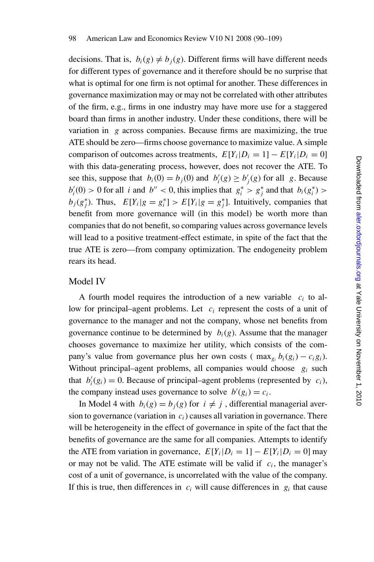decisions. That is,  $b_i(g) \neq b_j(g)$ . Different firms will have different needs for different types of governance and it therefore should be no surprise that what is optimal for one firm is not optimal for another. These differences in governance maximization may or may not be correlated with other attributes of the firm, e.g., firms in one industry may have more use for a staggered board than firms in another industry. Under these conditions, there will be variation in *g* across companies. Because firms are maximizing, the true ATE should be zero—firms choose governance to maximize value. A simple comparison of outcomes across treatments,  $E[Y_i|D_i = 1] - E[Y_i|D_i = 0]$ with this data-generating process, however, does not recover the ATE. To see this, suppose that  $b_i(0) = b_j(0)$  and  $b'_i(g) \ge b'_j(g)$  for all *g*. Because  $b_i'(0) > 0$  for all *i* and  $b'' < 0$ , this implies that  $g_i^* > g_j^*$  and that  $b_i(g_i^*) > 0$  $b_j(g_j^*)$ . Thus,  $E[Y_i|g = g_i^*] > E[Y_i|g = g_j^*]$ . Intuitively, companies that benefit from more governance will (in this model) be worth more than companies that do not benefit, so comparing values across governance levels will lead to a positive treatment-effect estimate, in spite of the fact that the true ATE is zero—from company optimization. The endogeneity problem rears its head.

#### Model IV

A fourth model requires the introduction of a new variable *ci* to allow for principal–agent problems. Let  $c_i$  represent the costs of a unit of governance to the manager and not the company, whose net benefits from governance continue to be determined by  $b_i(g)$ . Assume that the manager chooses governance to maximize her utility, which consists of the company's value from governance plus her own costs ( $\max_{g_i} b_i(g_i) - c_i g_i$ ). Without principal–agent problems, all companies would choose *gi* such that  $b_i'(g_i) = 0$ . Because of principal–agent problems (represented by  $c_i$ ), the company instead uses governance to solve  $b'(g_i) = c_i$ .

In Model 4 with  $b_i(g) = b_i(g)$  for  $i \neq j$ , differential managerial aversion to governance (variation in  $c_i$ ) causes all variation in governance. There will be heterogeneity in the effect of governance in spite of the fact that the benefits of governance are the same for all companies. Attempts to identify the ATE from variation in governance,  $E[Y_i|D_i = 1] - E[Y_i|D_i = 0]$  may or may not be valid. The ATE estimate will be valid if  $c_i$ , the manager's cost of a unit of governance, is uncorrelated with the value of the company. If this is true, then differences in  $c_i$  will cause differences in  $g_i$  that cause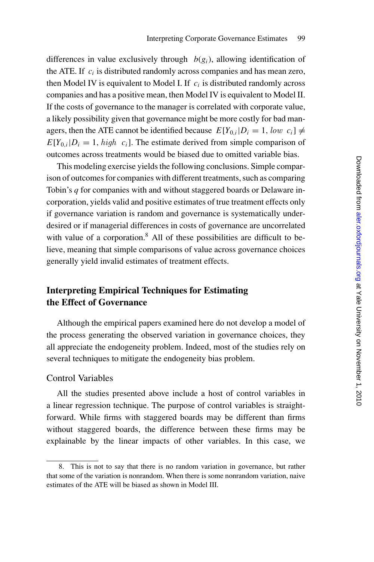differences in value exclusively through  $b(g_i)$ , allowing identification of the ATE. If *ci* is distributed randomly across companies and has mean zero, then Model IV is equivalent to Model I. If *ci* is distributed randomly across companies and has a positive mean, then Model IV is equivalent to Model II. If the costs of governance to the manager is correlated with corporate value, a likely possibility given that governance might be more costly for bad managers, then the ATE cannot be identified because  $E[Y_{0,i}|D_i = 1, low \ c_i] \neq$  $E[Y_{0,i}|D_i = 1, high \ c_i]$ . The estimate derived from simple comparison of outcomes across treatments would be biased due to omitted variable bias.

This modeling exercise yields the following conclusions. Simple comparison of outcomes for companies with different treatments, such as comparing Tobin's *q* for companies with and without staggered boards or Delaware incorporation, yields valid and positive estimates of true treatment effects only if governance variation is random and governance is systematically underdesired or if managerial differences in costs of governance are uncorrelated with value of a corporation.<sup>8</sup> All of these possibilities are difficult to believe, meaning that simple comparisons of value across governance choices generally yield invalid estimates of treatment effects.

# **Interpreting Empirical Techniques for Estimating the Effect of Governance**

Although the empirical papers examined here do not develop a model of the process generating the observed variation in governance choices, they all appreciate the endogeneity problem. Indeed, most of the studies rely on several techniques to mitigate the endogeneity bias problem.

# Control Variables

All the studies presented above include a host of control variables in a linear regression technique. The purpose of control variables is straightforward. While firms with staggered boards may be different than firms without staggered boards, the difference between these firms may be explainable by the linear impacts of other variables. In this case, we

<sup>8.</sup> This is not to say that there is no random variation in governance, but rather that some of the variation is nonrandom. When there is some nonrandom variation, naive estimates of the ATE will be biased as shown in Model III.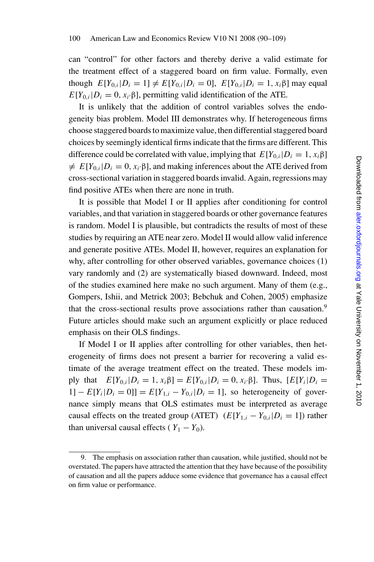can "control" for other factors and thereby derive a valid estimate for the treatment effect of a staggered board on firm value. Formally, even  $t$ hough  $E[Y_{0,i}|D_i = 1] ≠ E[Y_{0,i}|D_i = 0], E[Y_{0,i}|D_i = 1, x_i \beta]$  may equal  $E[Y_{0,i}|D_i = 0, x_{i'}\beta]$ , permitting valid identification of the ATE.

It is unlikely that the addition of control variables solves the endogeneity bias problem. Model III demonstrates why. If heterogeneous firms choose staggered boards to maximize value, then differential staggered board choices by seemingly identical firms indicate that the firms are different. This difference could be correlated with value, implying that  $E[Y_{0,i}|D_i = 1, x_i\beta]$  $\neq E[Y_{0,i}|D_i=0, x_{i'}\beta]$ , and making inferences about the ATE derived from cross-sectional variation in staggered boards invalid. Again, regressions may find positive ATEs when there are none in truth.

It is possible that Model I or II applies after conditioning for control variables, and that variation in staggered boards or other governance features is random. Model I is plausible, but contradicts the results of most of these studies by requiring an ATE near zero. Model II would allow valid inference and generate positive ATEs. Model II, however, requires an explanation for why, after controlling for other observed variables, governance choices (1) vary randomly and (2) are systematically biased downward. Indeed, most of the studies examined here make no such argument. Many of them (e.g., Gompers, Ishii, and Metrick 2003; Bebchuk and Cohen, 2005) emphasize that the cross-sectional results prove associations rather than causation.<sup>9</sup> Future articles should make such an argument explicitly or place reduced emphasis on their OLS findings.

If Model I or II applies after controlling for other variables, then heterogeneity of firms does not present a barrier for recovering a valid estimate of the average treatment effect on the treated. These models im- $P[y \text{ that } E[Y_{0,i}|D_i = 1, x_i \beta] = E[Y_{0,i}|D_i = 0, x_{i'} \beta]$ . Thus,  $E[Y_i|D_i = 0, x_{i'} \beta] = E[Y_{0,i}|D_i = 0, x_{i'} \beta]$ .  $[1] - E[Y_i|D_i = 0]] = E[Y_{1,i} - Y_{0,i}|D_i = 1]$ , so heterogeneity of governance simply means that OLS estimates must be interpreted as average causal effects on the treated group (ATET)  $(E[Y_{1,i} - Y_{0,i} | D_i = 1])$  rather than universal causal effects ( $Y_1 - Y_0$ ).

<sup>9.</sup> The emphasis on association rather than causation, while justified, should not be overstated. The papers have attracted the attention that they have because of the possibility of causation and all the papers adduce some evidence that governance has a causal effect on firm value or performance.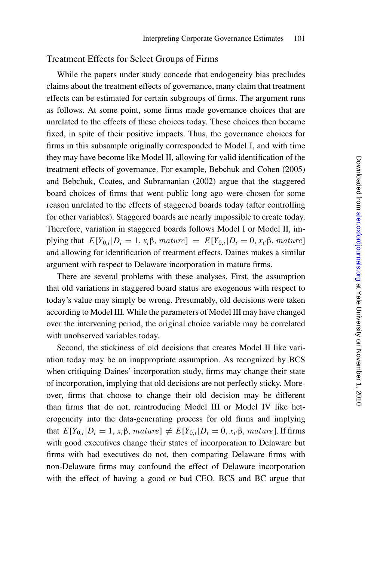#### Treatment Effects for Select Groups of Firms

While the papers under study concede that endogeneity bias precludes claims about the treatment effects of governance, many claim that treatment effects can be estimated for certain subgroups of firms. The argument runs as follows. At some point, some firms made governance choices that are unrelated to the effects of these choices today. These choices then became fixed, in spite of their positive impacts. Thus, the governance choices for firms in this subsample originally corresponded to Model I, and with time they may have become like Model II, allowing for valid identification of the treatment effects of governance. For example, Bebchuk and Cohen (2005) and Bebchuk, Coates, and Subramanian (2002) argue that the staggered board choices of firms that went public long ago were chosen for some reason unrelated to the effects of staggered boards today (after controlling for other variables). Staggered boards are nearly impossible to create today. Therefore, variation in staggered boards follows Model I or Model II, implying that  $E[Y_{0,i}|D_i = 1, x_i\beta, \text{mature}] = E[Y_{0,i}|D_i = 0, x_{i'}\beta, \text{mature}]$ and allowing for identification of treatment effects. Daines makes a similar argument with respect to Delaware incorporation in mature firms.

There are several problems with these analyses. First, the assumption that old variations in staggered board status are exogenous with respect to today's value may simply be wrong. Presumably, old decisions were taken according to Model III. While the parameters of Model III may have changed over the intervening period, the original choice variable may be correlated with unobserved variables today.

Second, the stickiness of old decisions that creates Model II like variation today may be an inappropriate assumption. As recognized by BCS when critiquing Daines' incorporation study, firms may change their state of incorporation, implying that old decisions are not perfectly sticky. Moreover, firms that choose to change their old decision may be different than firms that do not, reintroducing Model III or Model IV like heterogeneity into the data-generating process for old firms and implying that  $E[Y_{0,i}|D_i = 1, x_i\beta, mature] \neq E[Y_{0,i}|D_i = 0, x_{i'}\beta, mature]$ . If firms with good executives change their states of incorporation to Delaware but firms with bad executives do not, then comparing Delaware firms with non-Delaware firms may confound the effect of Delaware incorporation with the effect of having a good or bad CEO. BCS and BC argue that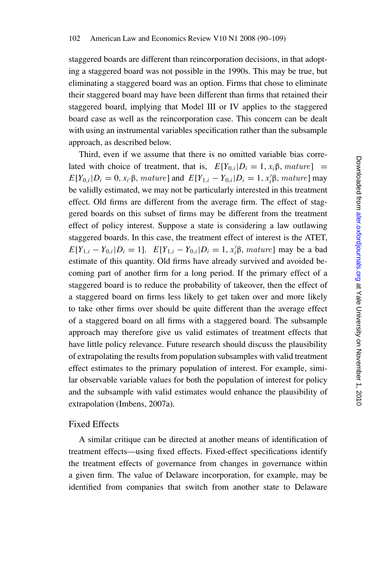staggered boards are different than reincorporation decisions, in that adopting a staggered board was not possible in the 1990s. This may be true, but eliminating a staggered board was an option. Firms that chose to eliminate their staggered board may have been different than firms that retained their staggered board, implying that Model III or IV applies to the staggered board case as well as the reincorporation case. This concern can be dealt with using an instrumental variables specification rather than the subsample approach, as described below.

Third, even if we assume that there is no omitted variable bias correlated with choice of treatment, that is,  $E[Y_{0,i}|D_i = 1, x_i \beta, \text{matter}] =$  $E[Y_{0,i}|D_i = 0, x_{i'}\beta, \text{ mature}]$  and  $E[Y_{1,i} - Y_{0,i}|D_i = 1, x_i'\beta, \text{ mature}]$  may be validly estimated, we may not be particularly interested in this treatment effect. Old firms are different from the average firm. The effect of staggered boards on this subset of firms may be different from the treatment effect of policy interest. Suppose a state is considering a law outlawing staggered boards. In this case, the treatment effect of interest is the ATET,  $E[Y_{1,i} - Y_{0,i} | D_i = 1]$ .  $E[Y_{1,i} - Y_{0,i} | D_i = 1, x_i' \beta, \text{ mature}]$  may be a bad estimate of this quantity. Old firms have already survived and avoided becoming part of another firm for a long period. If the primary effect of a staggered board is to reduce the probability of takeover, then the effect of a staggered board on firms less likely to get taken over and more likely to take other firms over should be quite different than the average effect of a staggered board on all firms with a staggered board. The subsample approach may therefore give us valid estimates of treatment effects that have little policy relevance. Future research should discuss the plausibility of extrapolating the results from population subsamples with valid treatment effect estimates to the primary population of interest. For example, similar observable variable values for both the population of interest for policy and the subsample with valid estimates would enhance the plausibility of extrapolation (Imbens, 2007a).

# Fixed Effects

A similar critique can be directed at another means of identification of treatment effects—using fixed effects. Fixed-effect specifications identify the treatment effects of governance from changes in governance within a given firm. The value of Delaware incorporation, for example, may be identified from companies that switch from another state to Delaware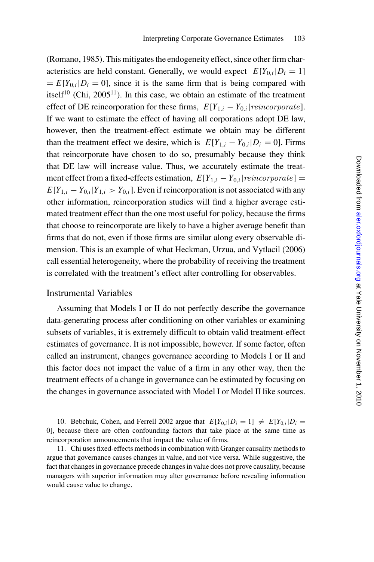(Romano, 1985). This mitigates the endogeneity effect, since other firm characteristics are held constant. Generally, we would expect  $E[Y_{0,i}|D_i = 1]$  $E[Y_{0,i}|D_i = 0]$ , since it is the same firm that is being compared with itself<sup>10</sup> (Chi, 2005<sup>11</sup>). In this case, we obtain an estimate of the treatment effect of DE reincorporation for these firms,  $E[Y_{1,i} - Y_{0,i}]$  reincorporate]. If we want to estimate the effect of having all corporations adopt DE law, however, then the treatment-effect estimate we obtain may be different than the treatment effect we desire, which is  $E[Y_{1,i} - Y_{0,i}|D_i = 0]$ . Firms that reincorporate have chosen to do so, presumably because they think that DE law will increase value. Thus, we accurately estimate the treatment effect from a fixed-effects estimation,  $E[Y_{1,i} - Y_{0,i}]$  reincorporate] =  $E[Y_{1,i} - Y_{0,i} | Y_{1,i} > Y_{0,i}]$ . Even if reincorporation is not associated with any other information, reincorporation studies will find a higher average estimated treatment effect than the one most useful for policy, because the firms that choose to reincorporate are likely to have a higher average benefit than firms that do not, even if those firms are similar along every observable dimension. This is an example of what Heckman, Urzua, and Vytlacil (2006) call essential heterogeneity, where the probability of receiving the treatment is correlated with the treatment's effect after controlling for observables.

# Instrumental Variables

Assuming that Models I or II do not perfectly describe the governance data-generating process after conditioning on other variables or examining subsets of variables, it is extremely difficult to obtain valid treatment-effect estimates of governance. It is not impossible, however. If some factor, often called an instrument, changes governance according to Models I or II and this factor does not impact the value of a firm in any other way, then the treatment effects of a change in governance can be estimated by focusing on the changes in governance associated with Model I or Model II like sources.

<sup>10.</sup> Bebchuk, Cohen, and Ferrell 2002 argue that  $E[Y_{0,i}|D_i = 1] \neq E[Y_{0,i}|D_i =$ 0], because there are often confounding factors that take place at the same time as reincorporation announcements that impact the value of firms.

<sup>11.</sup> Chi uses fixed-effects methods in combination with Granger causality methods to argue that governance causes changes in value, and not vice versa. While suggestive, the fact that changes in governance precede changes in value does not prove causality, because managers with superior information may alter governance before revealing information would cause value to change.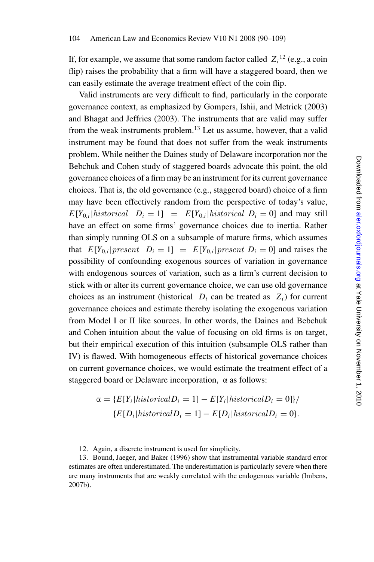If, for example, we assume that some random factor called  $Z_i^{12}$  (e.g., a coin flip) raises the probability that a firm will have a staggered board, then we can easily estimate the average treatment effect of the coin flip.

Valid instruments are very difficult to find, particularly in the corporate governance context, as emphasized by Gompers, Ishii, and Metrick (2003) and Bhagat and Jeffries (2003). The instruments that are valid may suffer from the weak instruments problem.<sup>13</sup> Let us assume, however, that a valid instrument may be found that does not suffer from the weak instruments problem. While neither the Daines study of Delaware incorporation nor the Bebchuk and Cohen study of staggered boards advocate this point, the old governance choices of a firm may be an instrument for its current governance choices. That is, the old governance (e.g., staggered board) choice of a firm may have been effectively random from the perspective of today's value,  $E[Y_{0,i}|historical \t D_i = 1] = E[Y_{0,i}|historical \t D_i = 0]$  and may still have an effect on some firms' governance choices due to inertia. Rather than simply running OLS on a subsample of mature firms, which assumes that  $E[Y_{0,i}|present \t D_i = 1] = E[Y_{0,i}|present \t D_i = 0]$  and raises the possibility of confounding exogenous sources of variation in governance with endogenous sources of variation, such as a firm's current decision to stick with or alter its current governance choice, we can use old governance choices as an instrument (historical  $D_i$  can be treated as  $Z_i$ ) for current governance choices and estimate thereby isolating the exogenous variation from Model I or II like sources. In other words, the Daines and Bebchuk and Cohen intuition about the value of focusing on old firms is on target, but their empirical execution of this intuition (subsample OLS rather than IV) is flawed. With homogeneous effects of historical governance choices on current governance choices, we would estimate the treatment effect of a staggered board or Delaware incorporation, α as follows:

$$
\alpha = \{E[Y_i | historicalD_i = 1] - E[Y_i | historicalD_i = 0]\}/\
$$

$$
\{E[D_i | historicalD_i = 1] - E[D_i | historicalD_i = 0].
$$

<sup>12.</sup> Again, a discrete instrument is used for simplicity.

<sup>13.</sup> Bound, Jaeger, and Baker (1996) show that instrumental variable standard error estimates are often underestimated. The underestimation is particularly severe when there are many instruments that are weakly correlated with the endogenous variable (Imbens, 2007b).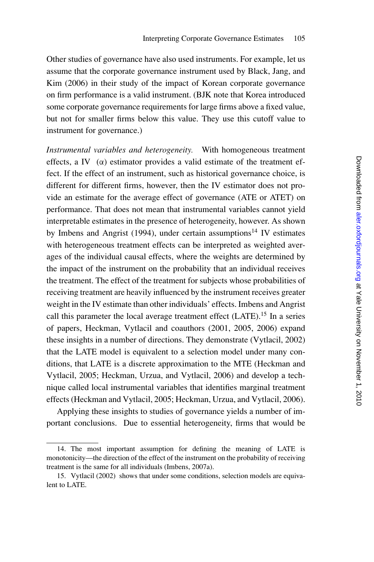Other studies of governance have also used instruments. For example, let us assume that the corporate governance instrument used by Black, Jang, and Kim (2006) in their study of the impact of Korean corporate governance on firm performance is a valid instrument. (BJK note that Korea introduced some corporate governance requirements for large firms above a fixed value, but not for smaller firms below this value. They use this cutoff value to instrument for governance.)

*Instrumental variables and heterogeneity.* With homogeneous treatment effects, a IV  $(\alpha)$  estimator provides a valid estimate of the treatment effect. If the effect of an instrument, such as historical governance choice, is different for different firms, however, then the IV estimator does not provide an estimate for the average effect of governance (ATE or ATET) on performance. That does not mean that instrumental variables cannot yield interpretable estimates in the presence of heterogeneity, however. As shown by Imbens and Angrist (1994), under certain assumptions<sup>14</sup> IV estimates with heterogeneous treatment effects can be interpreted as weighted averages of the individual causal effects, where the weights are determined by the impact of the instrument on the probability that an individual receives the treatment. The effect of the treatment for subjects whose probabilities of receiving treatment are heavily influenced by the instrument receives greater weight in the IV estimate than other individuals' effects. Imbens and Angrist call this parameter the local average treatment effect  $(LATE)$ .<sup>15</sup> In a series of papers, Heckman, Vytlacil and coauthors (2001, 2005, 2006) expand these insights in a number of directions. They demonstrate (Vytlacil, 2002) that the LATE model is equivalent to a selection model under many conditions, that LATE is a discrete approximation to the MTE (Heckman and Vytlacil, 2005; Heckman, Urzua, and Vytlacil, 2006) and develop a technique called local instrumental variables that identifies marginal treatment effects (Heckman and Vytlacil, 2005; Heckman, Urzua, and Vytlacil, 2006).

Applying these insights to studies of governance yields a number of important conclusions. Due to essential heterogeneity, firms that would be

<sup>14.</sup> The most important assumption for defining the meaning of LATE is monotonicity—the direction of the effect of the instrument on the probability of receiving treatment is the same for all individuals (Imbens, 2007a).

<sup>15.</sup> Vytlacil (2002) shows that under some conditions, selection models are equivalent to LATE.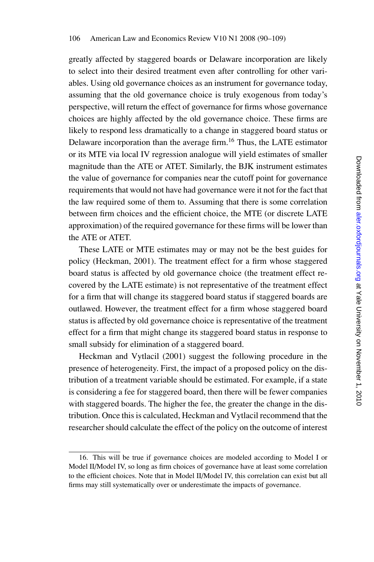greatly affected by staggered boards or Delaware incorporation are likely to select into their desired treatment even after controlling for other variables. Using old governance choices as an instrument for governance today, assuming that the old governance choice is truly exogenous from today's perspective, will return the effect of governance for firms whose governance choices are highly affected by the old governance choice. These firms are likely to respond less dramatically to a change in staggered board status or Delaware incorporation than the average firm.<sup>16</sup> Thus, the LATE estimator or its MTE via local IV regression analogue will yield estimates of smaller magnitude than the ATE or ATET. Similarly, the BJK instrument estimates the value of governance for companies near the cutoff point for governance requirements that would not have had governance were it not for the fact that the law required some of them to. Assuming that there is some correlation between firm choices and the efficient choice, the MTE (or discrete LATE approximation) of the required governance for these firms will be lower than the ATE or ATET.

These LATE or MTE estimates may or may not be the best guides for policy (Heckman, 2001). The treatment effect for a firm whose staggered board status is affected by old governance choice (the treatment effect recovered by the LATE estimate) is not representative of the treatment effect for a firm that will change its staggered board status if staggered boards are outlawed. However, the treatment effect for a firm whose staggered board status is affected by old governance choice is representative of the treatment effect for a firm that might change its staggered board status in response to small subsidy for elimination of a staggered board.

Heckman and Vytlacil (2001) suggest the following procedure in the presence of heterogeneity. First, the impact of a proposed policy on the distribution of a treatment variable should be estimated. For example, if a state is considering a fee for staggered board, then there will be fewer companies with staggered boards. The higher the fee, the greater the change in the distribution. Once this is calculated, Heckman and Vytlacil recommend that the researcher should calculate the effect of the policy on the outcome of interest

<sup>16.</sup> This will be true if governance choices are modeled according to Model I or Model II/Model IV, so long as firm choices of governance have at least some correlation to the efficient choices. Note that in Model II/Model IV, this correlation can exist but all firms may still systematically over or underestimate the impacts of governance.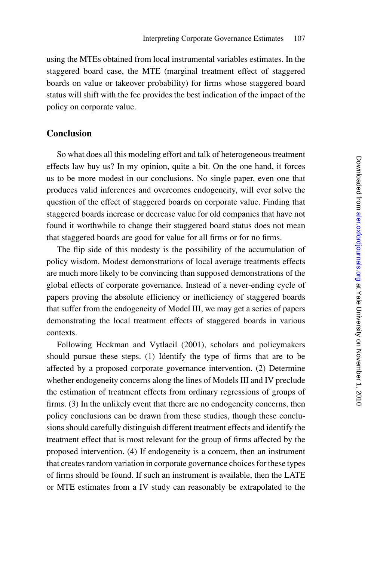using the MTEs obtained from local instrumental variables estimates. In the staggered board case, the MTE (marginal treatment effect of staggered boards on value or takeover probability) for firms whose staggered board status will shift with the fee provides the best indication of the impact of the policy on corporate value.

#### **Conclusion**

So what does all this modeling effort and talk of heterogeneous treatment effects law buy us? In my opinion, quite a bit. On the one hand, it forces us to be more modest in our conclusions. No single paper, even one that produces valid inferences and overcomes endogeneity, will ever solve the question of the effect of staggered boards on corporate value. Finding that staggered boards increase or decrease value for old companies that have not found it worthwhile to change their staggered board status does not mean that staggered boards are good for value for all firms or for no firms.

The flip side of this modesty is the possibility of the accumulation of policy wisdom. Modest demonstrations of local average treatments effects are much more likely to be convincing than supposed demonstrations of the global effects of corporate governance. Instead of a never-ending cycle of papers proving the absolute efficiency or inefficiency of staggered boards that suffer from the endogeneity of Model III, we may get a series of papers demonstrating the local treatment effects of staggered boards in various contexts.

Following Heckman and Vytlacil (2001), scholars and policymakers should pursue these steps. (1) Identify the type of firms that are to be affected by a proposed corporate governance intervention. (2) Determine whether endogeneity concerns along the lines of Models III and IV preclude the estimation of treatment effects from ordinary regressions of groups of firms. (3) In the unlikely event that there are no endogeneity concerns, then policy conclusions can be drawn from these studies, though these conclusions should carefully distinguish different treatment effects and identify the treatment effect that is most relevant for the group of firms affected by the proposed intervention. (4) If endogeneity is a concern, then an instrument that creates random variation in corporate governance choices for these types of firms should be found. If such an instrument is available, then the LATE or MTE estimates from a IV study can reasonably be extrapolated to the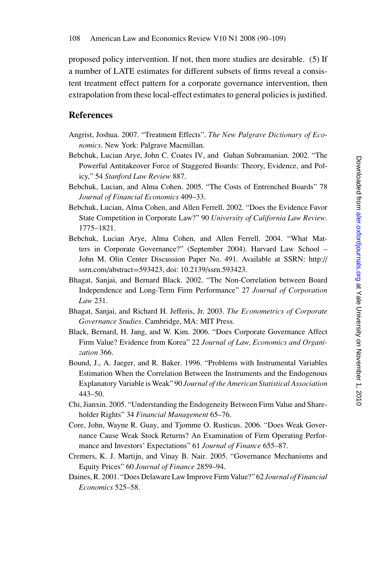proposed policy intervention. If not, then more studies are desirable. (5) If a number of LATE estimates for different subsets of firms reveal a consistent treatment effect pattern for a corporate governance intervention, then extrapolation from these local-effect estimates to general policies is justified.

# **References**

- Angrist, Joshua. 2007. "Treatment Effects". *The New Palgrave Dictionary of Economics*. New York: Palgrave Macmillan.
- Bebchuk, Lucian Arye, John C. Coates IV, and Guhan Subramanian. 2002. "The Powerful Antitakeover Force of Staggered Boards: Theory, Evidence, and Policy," 54 *Stanford Law Review* 887.
- Bebchuk, Lucian, and Alma Cohen. 2005. "The Costs of Entrenched Boards" 78 *Journal of Financial Economics* 409–33.
- Bebchuk, Lucian, Alma Cohen, and Allen Ferrell. 2002. "Does the Evidence Favor State Competition in Corporate Law?" 90 *University of California Law Review*. 1775–1821.
- Bebchuk, Lucian Arye, Alma Cohen, and Allen Ferrell. 2004. "What Matters in Corporate Governance?" (September 2004). Harvard Law School – John M. Olin Center Discussion Paper No. 491. Available at SSRN: http:// ssrn.com/abstract=593423, doi: 10.2139/ssrn.593423.
- Bhagat, Sanjai, and Bernard Black. 2002. "The Non-Correlation between Board Independence and Long-Term Firm Performance" 27 *Journal of Corporation Law* 231.
- Bhagat, Sanjai, and Richard H. Jefferis, Jr. 2003. *The Econometrics of Corporate Governance Studies.* Cambridge, MA: MIT Press.
- Black, Bernard, H. Jang, and W. Kim. 2006. "Does Corporate Governance Affect Firm Value? Evidence from Korea" 22 *Journal of Law, Economics and Organization* 366.
- Bound, J., A. Jaeger, and R. Baker. 1996. "Problems with Instrumental Variables Estimation When the Correlation Between the Instruments and the Endogenous Explanatory Variable is Weak" 90 *Journal of the American Statistical Association* 443–50.
- Chi, Jianxin. 2005. "Understanding the Endogeneity Between Firm Value and Shareholder Rights" 34 *Financial Management* 65–76.
- Core, John, Wayne R. Guay, and Tjomme O. Rusticus. 2006. "Does Weak Governance Cause Weak Stock Returns? An Examination of Firm Operating Performance and Investors' Expectations" 61 *Journal of Finance* 655–87.
- Cremers, K. J. Martijn, and Vinay B. Nair. 2005. "Governance Mechanisms and Equity Prices" 60 *Journal of Finance* 2859–94.
- Daines, R. 2001. "Does Delaware Law Improve Firm Value?" 62 *Journal of Financial Economics* 525–58.